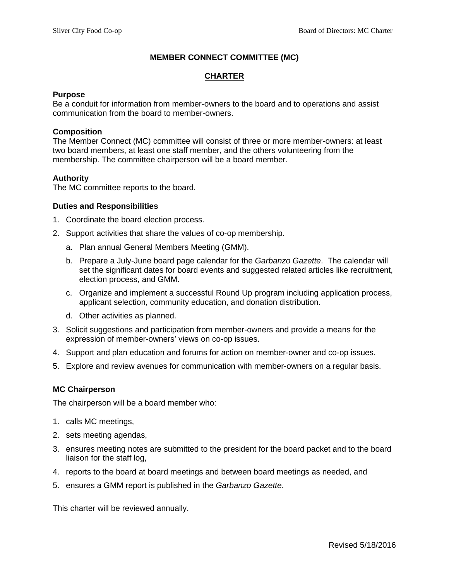### **MEMBER CONNECT COMMITTEE (MC)**

# **CHARTER**

#### **Purpose**

Be a conduit for information from member-owners to the board and to operations and assist communication from the board to member-owners.

### **Composition**

The Member Connect (MC) committee will consist of three or more member-owners: at least two board members, at least one staff member, and the others volunteering from the membership. The committee chairperson will be a board member.

# **Authority**

The MC committee reports to the board.

#### **Duties and Responsibilities**

- 1. Coordinate the board election process.
- 2. Support activities that share the values of co-op membership.
	- a. Plan annual General Members Meeting (GMM).
	- b. Prepare a July-June board page calendar for the *Garbanzo Gazette*. The calendar will set the significant dates for board events and suggested related articles like recruitment, election process, and GMM.
	- c. Organize and implement a successful Round Up program including application process, applicant selection, community education, and donation distribution.
	- d. Other activities as planned.
- 3. Solicit suggestions and participation from member-owners and provide a means for the expression of member-owners' views on co-op issues.
- 4. Support and plan education and forums for action on member-owner and co-op issues.
- 5. Explore and review avenues for communication with member-owners on a regular basis.

### **MC Chairperson**

The chairperson will be a board member who:

- 1. calls MC meetings,
- 2. sets meeting agendas,
- 3. ensures meeting notes are submitted to the president for the board packet and to the board liaison for the staff log,
- 4. reports to the board at board meetings and between board meetings as needed, and
- 5. ensures a GMM report is published in the *Garbanzo Gazette*.

This charter will be reviewed annually.